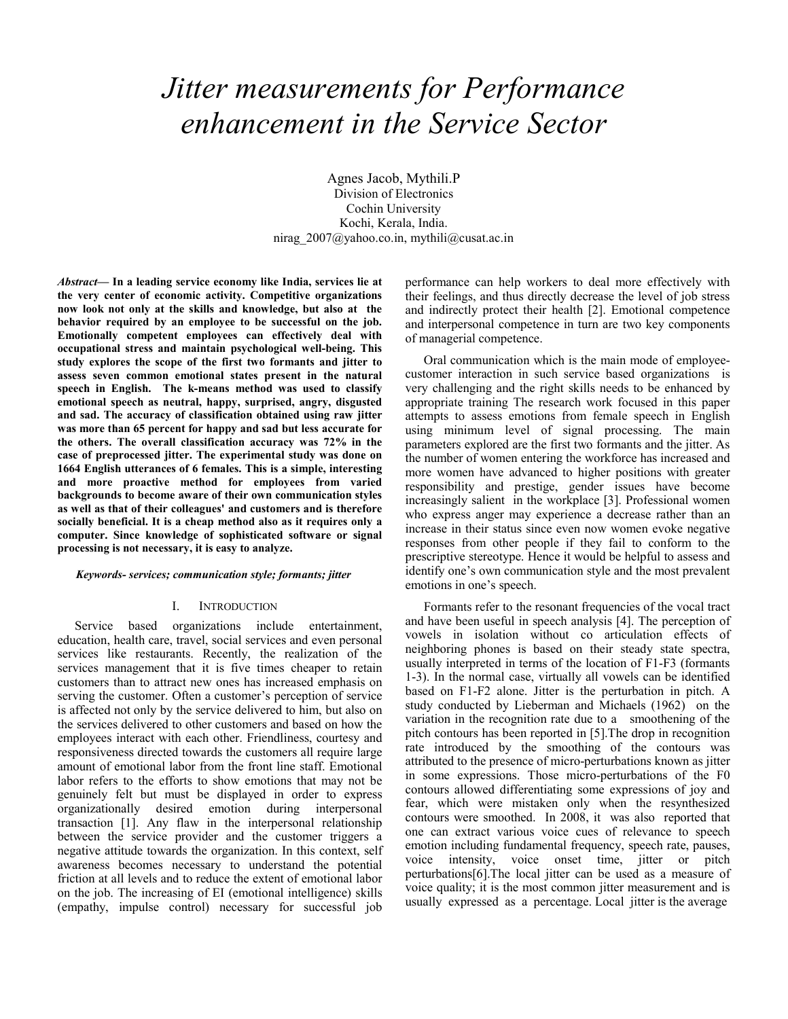# *Jitter measurements for Performance enhancement in the Service Sector*

Agnes Jacob, Mythili.P Division of Electronics Cochin University Kochi, Kerala, India. nirag\_2007@yahoo.co.in, mythili@cusat.ac.in

*Abstract***— In a leading service economy like India, services lie at the very center of economic activity. Competitive organizations now look not only at the skills and knowledge, but also at the behavior required by an employee to be successful on the job. Emotionally competent employees can effectively deal with occupational stress and maintain psychological well-being. This study explores the scope of the first two formants and jitter to assess seven common emotional states present in the natural speech in English. The k-means method was used to classify emotional speech as neutral, happy, surprised, angry, disgusted and sad. The accuracy of classification obtained using raw jitter was more than 65 percent for happy and sad but less accurate for the others. The overall classification accuracy was 72% in the case of preprocessed jitter. The experimental study was done on 1664 English utterances of 6 females. This is a simple, interesting and more proactive method for employees from varied backgrounds to become aware of their own communication styles as well as that of their colleagues' and customers and is therefore socially beneficial. It is a cheap method also as it requires only a computer. Since knowledge of sophisticated software or signal processing is not necessary, it is easy to analyze.** 

## *Keywords- services; communication style; formants; jitter*

#### I. INTRODUCTION

Service based organizations include entertainment, education, health care, travel, social services and even personal services like restaurants. Recently, the realization of the services management that it is five times cheaper to retain customers than to attract new ones has increased emphasis on serving the customer. Often a customer's perception of service is affected not only by the service delivered to him, but also on the services delivered to other customers and based on how the employees interact with each other. Friendliness, courtesy and responsiveness directed towards the customers all require large amount of emotional labor from the front line staff. Emotional labor refers to the efforts to show emotions that may not be genuinely felt but must be displayed in order to express organizationally desired emotion during interpersonal transaction [1]. Any flaw in the interpersonal relationship between the service provider and the customer triggers a negative attitude towards the organization. In this context, self awareness becomes necessary to understand the potential friction at all levels and to reduce the extent of emotional labor on the job. The increasing of EI (emotional intelligence) skills (empathy, impulse control) necessary for successful job

performance can help workers to deal more effectively with their feelings, and thus directly decrease the level of job stress and indirectly protect their health [2]. Emotional competence and interpersonal competence in turn are two key components of managerial competence.

Oral communication which is the main mode of employeecustomer interaction in such service based organizations is very challenging and the right skills needs to be enhanced by appropriate training The research work focused in this paper attempts to assess emotions from female speech in English using minimum level of signal processing. The main parameters explored are the first two formants and the jitter. As the number of women entering the workforce has increased and more women have advanced to higher positions with greater responsibility and prestige, gender issues have become increasingly salient in the workplace [3]. Professional women who express anger may experience a decrease rather than an increase in their status since even now women evoke negative responses from other people if they fail to conform to the prescriptive stereotype. Hence it would be helpful to assess and identify one's own communication style and the most prevalent emotions in one's speech.

Formants refer to the resonant frequencies of the vocal tract and have been useful in speech analysis [4]. The perception of vowels in isolation without co articulation effects of neighboring phones is based on their steady state spectra, usually interpreted in terms of the location of F1-F3 (formants 1-3). In the normal case, virtually all vowels can be identified based on F1-F2 alone. Jitter is the perturbation in pitch. A study conducted by Lieberman and Michaels (1962) on the variation in the recognition rate due to a smoothening of the pitch contours has been reported in [5].The drop in recognition rate introduced by the smoothing of the contours was attributed to the presence of micro-perturbations known as jitter in some expressions. Those micro-perturbations of the F0 contours allowed differentiating some expressions of joy and fear, which were mistaken only when the resynthesized contours were smoothed. In 2008, it was also reported that one can extract various voice cues of relevance to speech emotion including fundamental frequency, speech rate, pauses, voice intensity, voice onset time, jitter or pitch perturbations[6].The local jitter can be used as a measure of voice quality; it is the most common jitter measurement and is usually expressed as a percentage. Local jitter is the average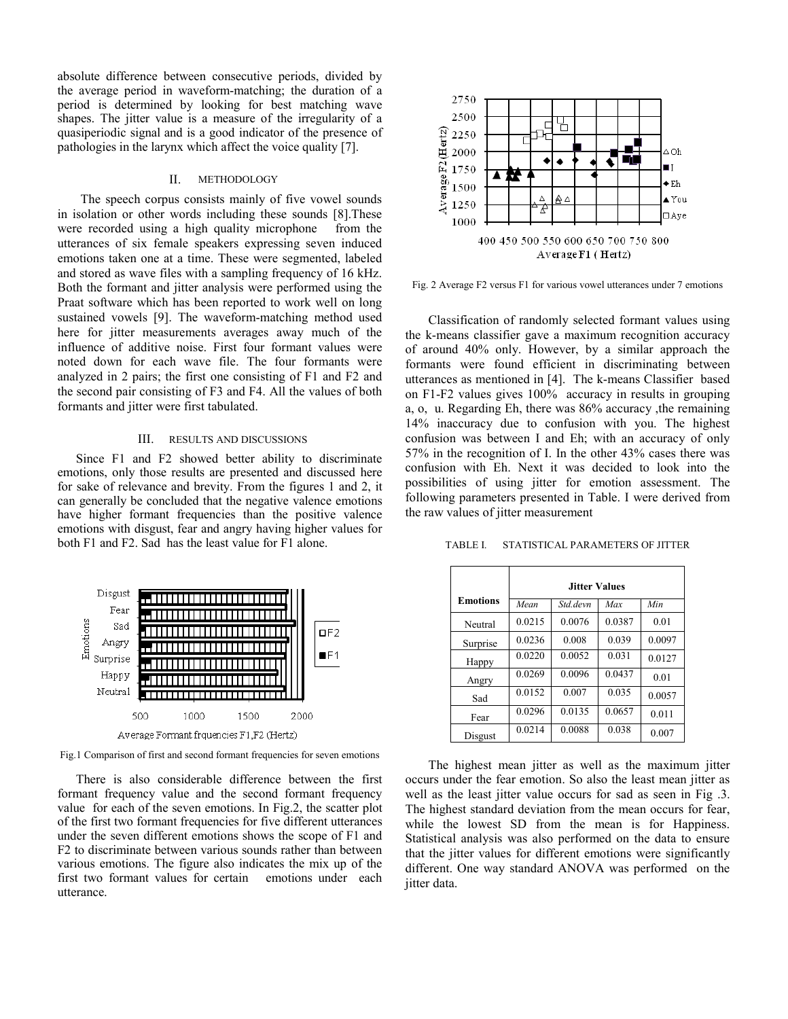absolute difference between consecutive periods, divided by the average period in waveform-matching; the duration of a period is determined by looking for best matching wave shapes. The jitter value is a measure of the irregularity of a quasiperiodic signal and is a good indicator of the presence of pathologies in the larynx which affect the voice quality [7].

### II. METHODOLOGY

 The speech corpus consists mainly of five vowel sounds in isolation or other words including these sounds [8].These were recorded using a high quality microphone from the utterances of six female speakers expressing seven induced emotions taken one at a time. These were segmented, labeled and stored as wave files with a sampling frequency of 16 kHz. Both the formant and jitter analysis were performed using the Praat software which has been reported to work well on long sustained vowels [9]. The waveform-matching method used here for jitter measurements averages away much of the influence of additive noise. First four formant values were noted down for each wave file. The four formants were analyzed in 2 pairs; the first one consisting of F1 and F2 and the second pair consisting of F3 and F4. All the values of both formants and jitter were first tabulated.

### III. RESULTS AND DISCUSSIONS

Since F1 and F2 showed better ability to discriminate emotions, only those results are presented and discussed here for sake of relevance and brevity. From the figures 1 and 2, it can generally be concluded that the negative valence emotions have higher formant frequencies than the positive valence emotions with disgust, fear and angry having higher values for both F1 and F2. Sad has the least value for F1 alone.



Fig.1 Comparison of first and second formant frequencies for seven emotions

There is also considerable difference between the first formant frequency value and the second formant frequency value for each of the seven emotions. In Fig.2, the scatter plot of the first two formant frequencies for five different utterances under the seven different emotions shows the scope of F1 and F2 to discriminate between various sounds rather than between various emotions. The figure also indicates the mix up of the first two formant values for certain emotions under each utterance.



Fig. 2 Average F2 versus F1 for various vowel utterances under 7 emotions

 Classification of randomly selected formant values using the k-means classifier gave a maximum recognition accuracy of around 40% only. However, by a similar approach the formants were found efficient in discriminating between utterances as mentioned in [4]. The k-means Classifier based on F1-F2 values gives 100% accuracy in results in grouping a, o, u. Regarding Eh, there was 86% accuracy ,the remaining 14% inaccuracy due to confusion with you. The highest confusion was between I and Eh; with an accuracy of only 57% in the recognition of I. In the other 43% cases there was confusion with Eh. Next it was decided to look into the possibilities of using jitter for emotion assessment. The following parameters presented in Table. I were derived from the raw values of jitter measurement

|                 | <b>Jitter Values</b> |          |        |        |  |
|-----------------|----------------------|----------|--------|--------|--|
| <b>Emotions</b> | Mean                 | Std devn | Max    | Min    |  |
| Neutral         | 0.0215               | 0.0076   | 0.0387 | 0.01   |  |
| Surprise        | 0.0236               | 0.008    | 0.039  | 0.0097 |  |
| Happy           | 0.0220               | 0.0052   | 0.031  | 0.0127 |  |
| Angry           | 0.0269               | 0.0096   | 0.0437 | 0.01   |  |
| Sad             | 0.0152               | 0.007    | 0.035  | 0.0057 |  |
| Fear            | 0.0296               | 0.0135   | 0.0657 | 0.011  |  |
| Disgust         | 0.0214               | 0.0088   | 0.038  | 0.007  |  |

TABLE I. STATISTICAL PARAMETERS OF JITTER

 The highest mean jitter as well as the maximum jitter occurs under the fear emotion. So also the least mean jitter as well as the least jitter value occurs for sad as seen in Fig .3. The highest standard deviation from the mean occurs for fear, while the lowest SD from the mean is for Happiness. Statistical analysis was also performed on the data to ensure that the jitter values for different emotions were significantly different. One way standard ANOVA was performed on the jitter data.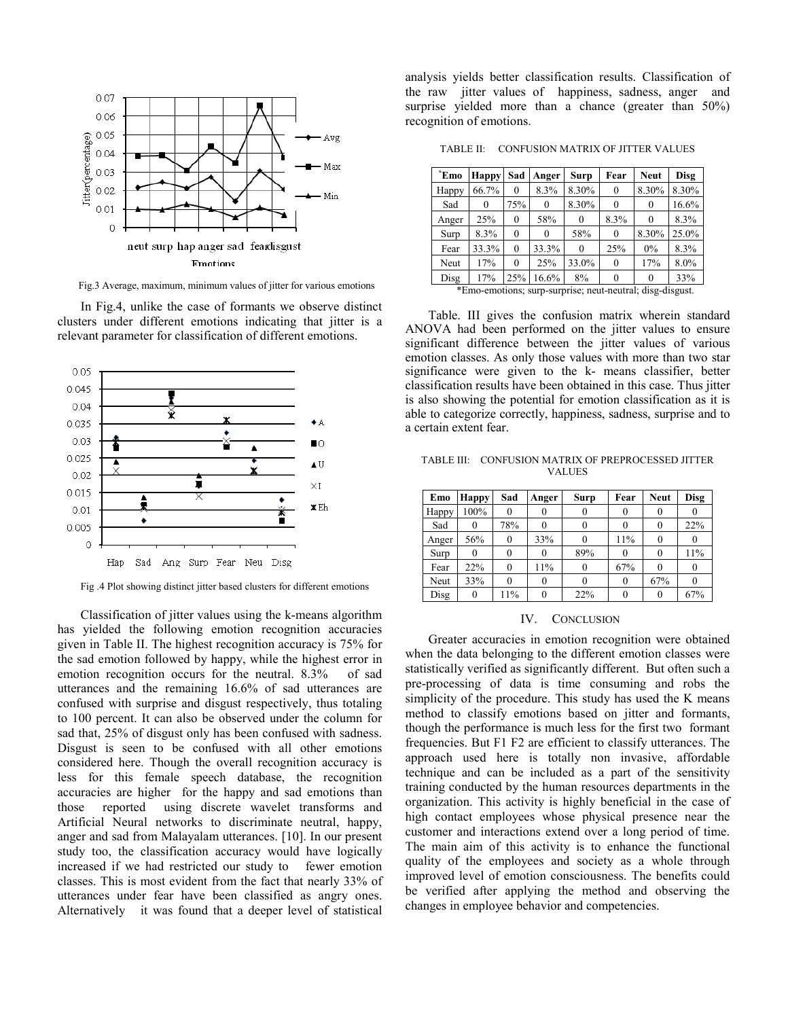

Fig.3 Average, maximum, minimum values of jitter for various emotions

 In Fig.4, unlike the case of formants we observe distinct clusters under different emotions indicating that jitter is a relevant parameter for classification of different emotions.



Fig .4 Plot showing distinct jitter based clusters for different emotions

 Classification of jitter values using the k-means algorithm has yielded the following emotion recognition accuracies given in Table II. The highest recognition accuracy is 75% for the sad emotion followed by happy, while the highest error in emotion recognition occurs for the neutral. 8.3% of sad utterances and the remaining 16.6% of sad utterances are confused with surprise and disgust respectively, thus totaling to 100 percent. It can also be observed under the column for sad that, 25% of disgust only has been confused with sadness. Disgust is seen to be confused with all other emotions considered here. Though the overall recognition accuracy is less for this female speech database, the recognition accuracies are higher for the happy and sad emotions than those reported using discrete wavelet transforms and Artificial Neural networks to discriminate neutral, happy, anger and sad from Malayalam utterances. [10]. In our present study too, the classification accuracy would have logically increased if we had restricted our study to fewer emotion classes. This is most evident from the fact that nearly 33% of utterances under fear have been classified as angry ones. Alternatively it was found that a deeper level of statistical

analysis yields better classification results. Classification of the raw jitter values of happiness, sadness, anger and surprise yielded more than a chance (greater than 50%) recognition of emotions.

TABLE II: CONFUSION MATRIX OF JITTER VALUES

| Emo   | <b>Happy</b> | Sad      | Anger    | Surp  | Fear | <b>Neut</b> | Disg  |
|-------|--------------|----------|----------|-------|------|-------------|-------|
| Happy | 66.7%        | $\theta$ | 8.3%     | 8.30% | 0    | 8.30%       | 8.30% |
| Sad   | 0            | 75%      | $\Omega$ | 8.30% | 0    | 0           | 16.6% |
| Anger | 25%          | $\theta$ | 58%      | 0     | 8.3% | 0           | 8.3%  |
| Surp  | 8.3%         | $\theta$ | 0        | 58%   | 0    | 8.30%       | 25.0% |
| Fear  | 33.3%        | $\theta$ | 33.3%    | 0     | 25%  | 0%          | 8.3%  |
| Neut  | 17%          | $\theta$ | 25%      | 33.0% | 0    | 17%         | 8.0%  |
| Disg  | 17%          | 25%      | 16.6%    | 8%    | 0    | 0           | 33%   |

\*Emo-emotions; surp-surprise; neut-neutral; disg-disgust.

 Table. III gives the confusion matrix wherein standard ANOVA had been performed on the jitter values to ensure significant difference between the jitter values of various emotion classes. As only those values with more than two star significance were given to the k- means classifier, better classification results have been obtained in this case. Thus jitter is also showing the potential for emotion classification as it is able to categorize correctly, happiness, sadness, surprise and to a certain extent fear.

TABLE III: CONFUSION MATRIX OF PREPROCESSED JITTER **VALUES** 

| Emo   | <b>Happy</b> | Sad      | Anger | Surp     | Fear             | <b>Neut</b> | Disg     |
|-------|--------------|----------|-------|----------|------------------|-------------|----------|
| Happy | 100%         | 0        |       | 0        | $\theta$         |             |          |
| Sad   | 0            | 78%      |       | 0        |                  |             | 22%      |
| Anger | 56%          | 0        | 33%   | $\theta$ | 11%              |             |          |
| Surp  |              | 0        |       | 89%      | $\left( \right)$ |             | 11%      |
| Fear  | 22%          | $\theta$ | 11%   | 0        | 67%              |             | $\theta$ |
| Neut  | 33%          | 0        |       |          | $\theta$         | 67%         |          |
| Disg  |              | 11%      |       | 22%      |                  |             | 67%      |

#### IV. CONCLUSION

 Greater accuracies in emotion recognition were obtained when the data belonging to the different emotion classes were statistically verified as significantly different. But often such a pre-processing of data is time consuming and robs the simplicity of the procedure. This study has used the K means method to classify emotions based on jitter and formants, though the performance is much less for the first two formant frequencies. But F1 F2 are efficient to classify utterances. The approach used here is totally non invasive, affordable technique and can be included as a part of the sensitivity training conducted by the human resources departments in the organization. This activity is highly beneficial in the case of high contact employees whose physical presence near the customer and interactions extend over a long period of time. The main aim of this activity is to enhance the functional quality of the employees and society as a whole through improved level of emotion consciousness. The benefits could be verified after applying the method and observing the changes in employee behavior and competencies.